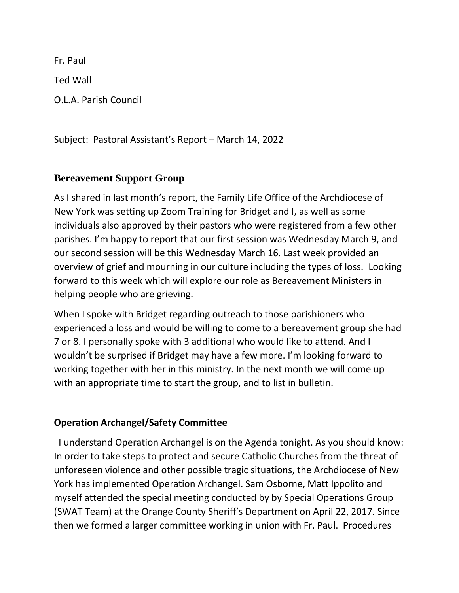Fr. Paul Ted Wall O.L.A. Parish Council

Subject: Pastoral Assistant's Report – March 14, 2022

## **Bereavement Support Group**

As I shared in last month's report, the Family Life Office of the Archdiocese of New York was setting up Zoom Training for Bridget and I, as well as some individuals also approved by their pastors who were registered from a few other parishes. I'm happy to report that our first session was Wednesday March 9, and our second session will be this Wednesday March 16. Last week provided an overview of grief and mourning in our culture including the types of loss. Looking forward to this week which will explore our role as Bereavement Ministers in helping people who are grieving.

When I spoke with Bridget regarding outreach to those parishioners who experienced a loss and would be willing to come to a bereavement group she had 7 or 8. I personally spoke with 3 additional who would like to attend. And I wouldn't be surprised if Bridget may have a few more. I'm looking forward to working together with her in this ministry. In the next month we will come up with an appropriate time to start the group, and to list in bulletin.

## **Operation Archangel/Safety Committee**

 I understand Operation Archangel is on the Agenda tonight. As you should know: In order to take steps to protect and secure Catholic Churches from the threat of unforeseen violence and other possible tragic situations, the Archdiocese of New York has implemented Operation Archangel. Sam Osborne, Matt Ippolito and myself attended the special meeting conducted by by Special Operations Group (SWAT Team) at the Orange County Sheriff's Department on April 22, 2017. Since then we formed a larger committee working in union with Fr. Paul. Procedures